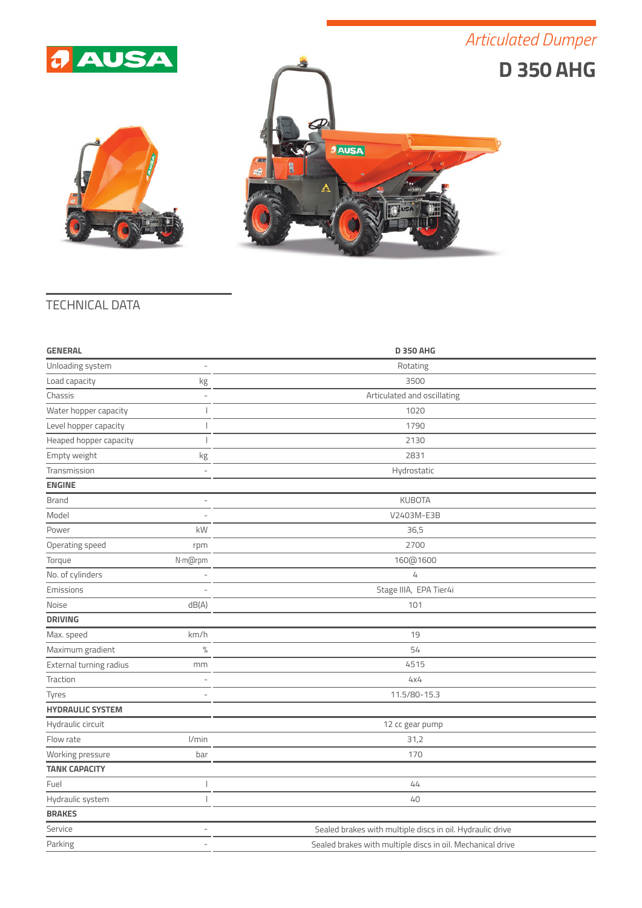





## TECHNICAL DATA

| <b>GENERAL</b>          |                          | <b>D 350 AHG</b>                                           |
|-------------------------|--------------------------|------------------------------------------------------------|
| Unloading system        | ÷,                       | Rotating                                                   |
| Load capacity           | kg                       | 3500                                                       |
| Chassis                 |                          | Articulated and oscillating                                |
| Water hopper capacity   |                          | 1020                                                       |
| Level hopper capacity   |                          | 1790                                                       |
| Heaped hopper capacity  |                          | 2130                                                       |
| Empty weight            | kg                       | 2831                                                       |
| Transmission            |                          | Hydrostatic                                                |
| <b>ENGINE</b>           |                          |                                                            |
| <b>Brand</b>            | $\overline{a}$           | <b>KUBOTA</b>                                              |
| Model                   |                          | V2403M-E3B                                                 |
| Power                   | kW                       | 36,5                                                       |
| Operating speed         | rpm                      | 2700                                                       |
| Torque                  | N·m@rpm                  | 160@1600                                                   |
| No. of cylinders        |                          | 4                                                          |
| Emissions               |                          | Stage IIIA, EPA Tier4i                                     |
| Noise                   | dB(A)                    | 101                                                        |
| <b>DRIVING</b>          |                          |                                                            |
| Max. speed              | km/h                     | 19                                                         |
| Maximum gradient        | $\frac{0}{2}$            | 54                                                         |
| External turning radius | mm                       | 4515                                                       |
| Traction                |                          | 4x4                                                        |
| Tyres                   |                          | 11.5/80-15.3                                               |
| <b>HYDRAULIC SYSTEM</b> |                          |                                                            |
| Hydraulic circuit       |                          | 12 cc gear pump                                            |
| Flow rate               | l/min                    | 31,2                                                       |
| Working pressure        | bar                      | 170                                                        |
| <b>TANK CAPACITY</b>    |                          |                                                            |
| Fuel                    |                          | 44                                                         |
| Hydraulic system        |                          | 40                                                         |
| <b>BRAKES</b>           |                          |                                                            |
| Service                 | ÷                        | Sealed brakes with multiple discs in oil. Hydraulic drive  |
| Parking                 | $\overline{\phantom{a}}$ | Sealed brakes with multiple discs in oil. Mechanical drive |